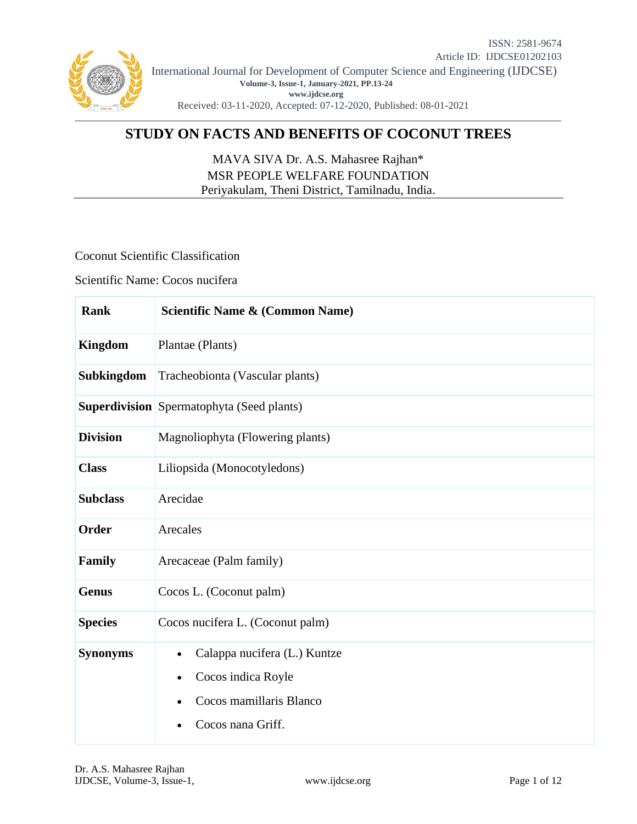

# **STUDY ON FACTS AND BENEFITS OF COCONUT TREES**

MAVA SIVA Dr. A.S. Mahasree Rajhan\* MSR PEOPLE WELFARE FOUNDATION Periyakulam, Theni District, Tamilnadu, India.

Coconut Scientific Classification

Scientific Name: Cocos nucifera

| <b>Rank</b>       | <b>Scientific Name &amp; (Common Name)</b>                                                         |
|-------------------|----------------------------------------------------------------------------------------------------|
| <b>Kingdom</b>    | Plantae (Plants)                                                                                   |
| <b>Subkingdom</b> | Tracheobionta (Vascular plants)                                                                    |
|                   | <b>Superdivision</b> Spermatophyta (Seed plants)                                                   |
| <b>Division</b>   | Magnoliophyta (Flowering plants)                                                                   |
| <b>Class</b>      | Liliopsida (Monocotyledons)                                                                        |
| <b>Subclass</b>   | Arecidae                                                                                           |
| Order             | Arecales                                                                                           |
| Family            | Arecaceae (Palm family)                                                                            |
| <b>Genus</b>      | Cocos L. (Coconut palm)                                                                            |
| <b>Species</b>    | Cocos nucifera L. (Coconut palm)                                                                   |
| <b>Synonyms</b>   | Calappa nucifera (L.) Kuntze<br>Cocos indica Royle<br>Cocos mamillaris Blanco<br>Cocos nana Griff. |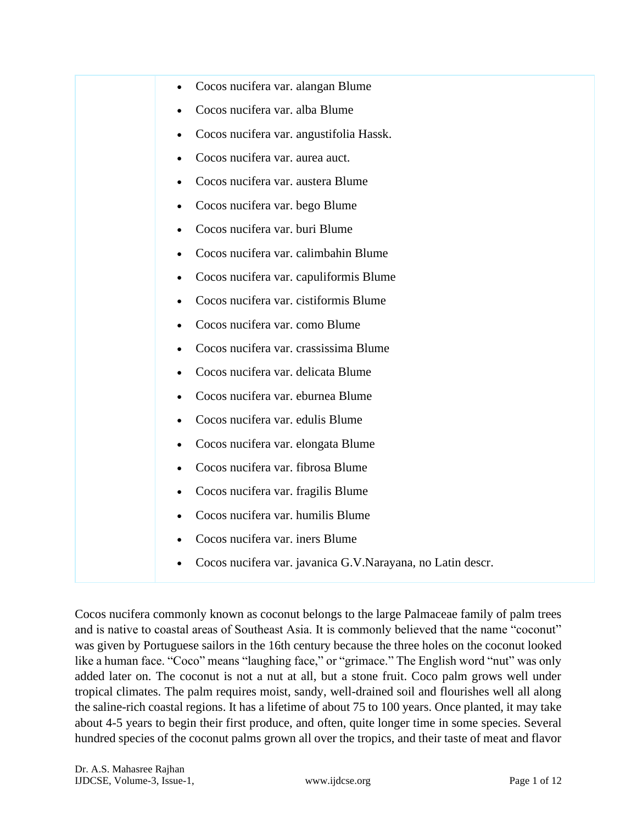

Cocos nucifera commonly known as coconut belongs to the large Palmaceae family of palm trees and is native to coastal areas of Southeast Asia. It is commonly believed that the name "coconut" was given by Portuguese sailors in the 16th century because the three holes on the coconut looked like a human face. "Coco" means "laughing face," or "grimace." The English word "nut" was only added later on. The coconut is not a nut at all, but a stone fruit. Coco palm grows well under tropical climates. The palm requires moist, sandy, well-drained soil and flourishes well all along the saline-rich coastal regions. It has a lifetime of about 75 to 100 years. Once planted, it may take about 4-5 years to begin their first produce, and often, quite longer time in some species. Several hundred species of the coconut palms grown all over the tropics, and their taste of meat and flavor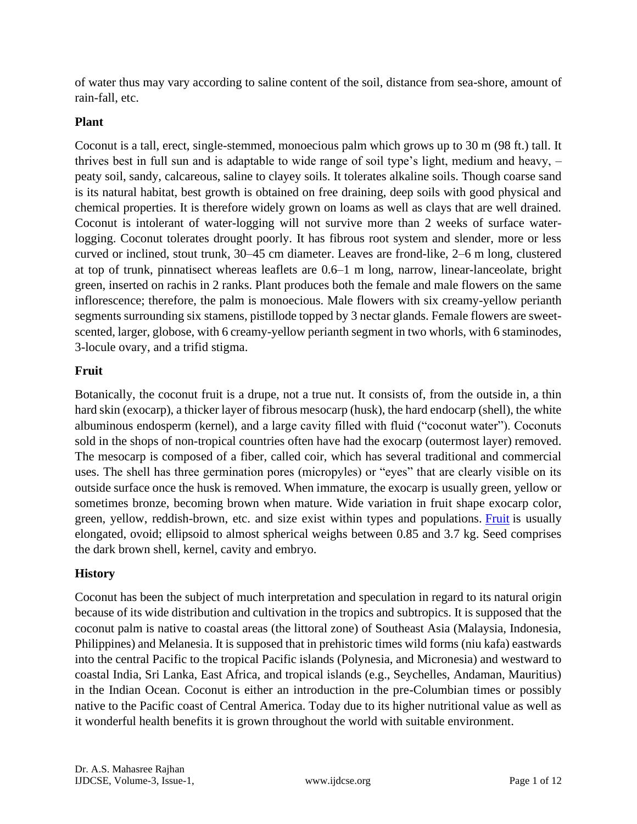of water thus may vary according to saline content of the soil, distance from sea-shore, amount of rain-fall, etc.

## **Plant**

Coconut is a tall, erect, single-stemmed, monoecious palm which grows up to 30 m (98 ft.) tall. It thrives best in full sun and is adaptable to wide range of soil type's light, medium and heavy, – peaty soil, sandy, calcareous, saline to clayey soils. It tolerates alkaline soils. Though coarse sand is its natural habitat, best growth is obtained on free draining, deep soils with good physical and chemical properties. It is therefore widely grown on loams as well as clays that are well drained. Coconut is intolerant of water-logging will not survive more than 2 weeks of surface waterlogging. Coconut tolerates drought poorly. It has fibrous root system and slender, more or less curved or inclined, stout trunk, 30–45 cm diameter. Leaves are frond-like, 2–6 m long, clustered at top of trunk, pinnatisect whereas leaflets are 0.6–1 m long, narrow, linear-lanceolate, bright green, inserted on rachis in 2 ranks. Plant produces both the female and male flowers on the same inflorescence; therefore, the palm is monoecious. Male flowers with six creamy-yellow perianth segments surrounding six stamens, pistillode topped by 3 nectar glands. Female flowers are sweetscented, larger, globose, with 6 creamy-yellow perianth segment in two whorls, with 6 staminodes, 3-locule ovary, and a trifid stigma.

## **Fruit**

Botanically, the coconut fruit is a drupe, not a true nut. It consists of, from the outside in, a thin hard skin (exocarp), a thicker layer of fibrous mesocarp (husk), the hard endocarp (shell), the white albuminous endosperm (kernel), and a large cavity filled with fluid ("coconut water"). Coconuts sold in the shops of non-tropical countries often have had the exocarp (outermost layer) removed. The mesocarp is composed of a fiber, called coir, which has several traditional and commercial uses. The shell has three germination pores (micropyles) or "eyes" that are clearly visible on its outside surface once the husk is removed. When immature, the exocarp is usually green, yellow or sometimes bronze, becoming brown when mature. Wide variation in fruit shape exocarp color, green, yellow, reddish-brown, etc. and size exist within types and populations. [Fruit](https://www.healthbenefitstimes.com/category/fruits/) is usually elongated, ovoid; ellipsoid to almost spherical weighs between 0.85 and 3.7 kg. Seed comprises the dark brown shell, kernel, cavity and embryo.

### **History**

Coconut has been the subject of much interpretation and speculation in regard to its natural origin because of its wide distribution and cultivation in the tropics and subtropics. It is supposed that the coconut palm is native to coastal areas (the littoral zone) of Southeast Asia (Malaysia, Indonesia, Philippines) and Melanesia. It is supposed that in prehistoric times wild forms (niu kafa) eastwards into the central Pacific to the tropical Pacific islands (Polynesia, and Micronesia) and westward to coastal India, Sri Lanka, East Africa, and tropical islands (e.g., Seychelles, Andaman, Mauritius) in the Indian Ocean. Coconut is either an introduction in the pre-Columbian times or possibly native to the Pacific coast of Central America. Today due to its higher nutritional value as well as it wonderful health benefits it is grown throughout the world with suitable environment.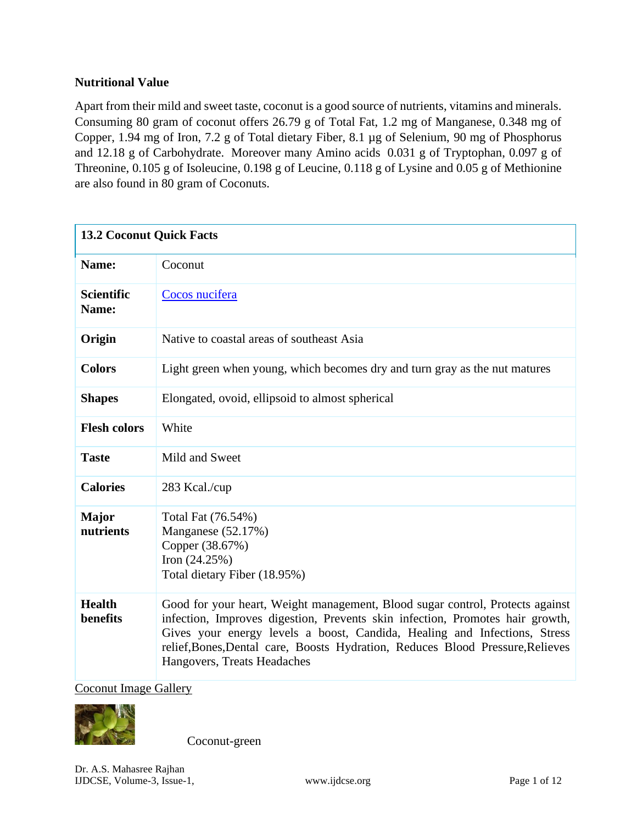### **Nutritional Value**

Apart from their mild and sweet taste, coconut is a good source of nutrients, vitamins and minerals. Consuming 80 gram of coconut offers 26.79 g of Total Fat, 1.2 mg of Manganese, 0.348 mg of Copper, 1.94 mg of Iron, 7.2 g of Total dietary Fiber, 8.1 µg of Selenium, 90 mg of Phosphorus and 12.18 g of Carbohydrate. Moreover many Amino acids 0.031 g of Tryptophan, 0.097 g of Threonine, 0.105 g of Isoleucine, 0.198 g of Leucine, 0.118 g of Lysine and 0.05 g of Methionine are also found in 80 gram of Coconuts.

| <b>13.2 Coconut Quick Facts</b> |                                                                                                                                                                                                                                                                                                                                                              |
|---------------------------------|--------------------------------------------------------------------------------------------------------------------------------------------------------------------------------------------------------------------------------------------------------------------------------------------------------------------------------------------------------------|
| Name:                           | Coconut                                                                                                                                                                                                                                                                                                                                                      |
| <b>Scientific</b><br>Name:      | Cocos nucifera                                                                                                                                                                                                                                                                                                                                               |
| Origin                          | Native to coastal areas of southeast Asia                                                                                                                                                                                                                                                                                                                    |
| <b>Colors</b>                   | Light green when young, which becomes dry and turn gray as the nut matures                                                                                                                                                                                                                                                                                   |
| <b>Shapes</b>                   | Elongated, ovoid, ellipsoid to almost spherical                                                                                                                                                                                                                                                                                                              |
| <b>Flesh colors</b>             | White                                                                                                                                                                                                                                                                                                                                                        |
| <b>Taste</b>                    | Mild and Sweet                                                                                                                                                                                                                                                                                                                                               |
| <b>Calories</b>                 | 283 Kcal./cup                                                                                                                                                                                                                                                                                                                                                |
| <b>Major</b><br>nutrients       | Total Fat (76.54%)<br>Manganese (52.17%)<br>Copper (38.67%)<br>Iron $(24.25%)$<br>Total dietary Fiber (18.95%)                                                                                                                                                                                                                                               |
| <b>Health</b><br>benefits       | Good for your heart, Weight management, Blood sugar control, Protects against<br>infection, Improves digestion, Prevents skin infection, Promotes hair growth,<br>Gives your energy levels a boost, Candida, Healing and Infections, Stress<br>relief, Bones, Dental care, Boosts Hydration, Reduces Blood Pressure, Relieves<br>Hangovers, Treats Headaches |

[Coconut Image Gallery](https://www.healthbenefitstimes.com/coconut/nggallery/slideshow)



Coconut-green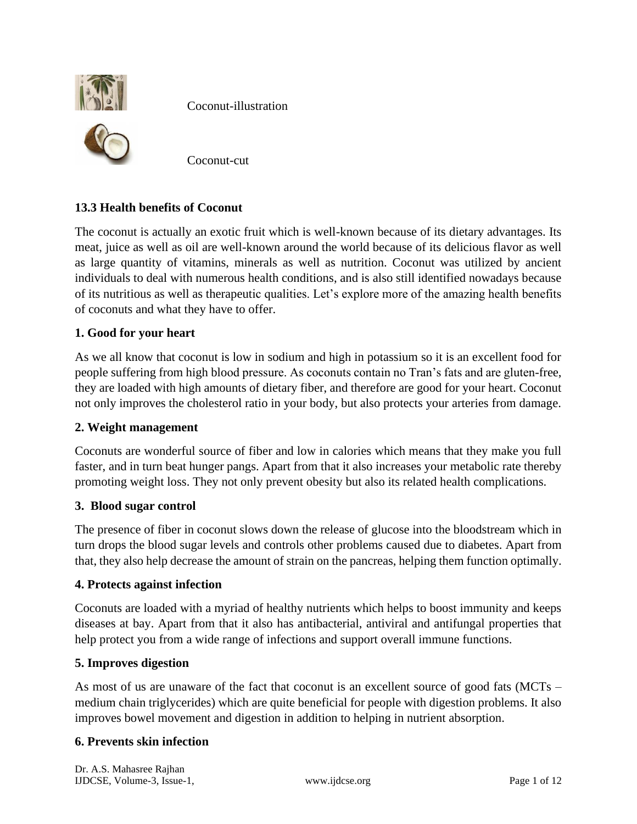

Coconut-illustration

Coconut-cut

## **13.3 Health benefits of Coconut**

The coconut is actually an exotic fruit which is well-known because of its dietary advantages. Its meat, juice as well as oil are well-known around the world because of its delicious flavor as well as large quantity of vitamins, minerals as well as nutrition. Coconut was utilized by ancient individuals to deal with numerous health conditions, and is also still identified nowadays because of its nutritious as well as therapeutic qualities. Let's explore more of the amazing health benefits of coconuts and what they have to offer.

### **1. Good for your heart**

As we all know that coconut is low in sodium and high in potassium so it is an excellent food for people suffering from high blood pressure. As coconuts contain no Tran's fats and are gluten-free, they are loaded with high amounts of dietary fiber, and therefore are good for your heart. Coconut not only improves the cholesterol ratio in your body, but also protects your arteries from damage.

### **2. Weight management**

Coconuts are wonderful source of fiber and low in calories which means that they make you full faster, and in turn beat hunger pangs. Apart from that it also increases your metabolic rate thereby promoting weight loss. They not only prevent obesity but also its related health complications.

### **3. Blood sugar control**

The presence of fiber in coconut slows down the release of glucose into the bloodstream which in turn drops the blood sugar levels and controls other problems caused due to diabetes. Apart from that, they also help decrease the amount of strain on the pancreas, helping them function optimally.

### **4. Protects against infection**

Coconuts are loaded with a myriad of healthy nutrients which helps to boost immunity and keeps diseases at bay. Apart from that it also has antibacterial, antiviral and antifungal properties that help protect you from a wide range of infections and support overall immune functions.

### **5. Improves digestion**

As most of us are unaware of the fact that coconut is an excellent source of good fats (MCTs – medium chain triglycerides) which are quite beneficial for people with digestion problems. It also improves bowel movement and digestion in addition to helping in nutrient absorption.

### **6. Prevents skin infection**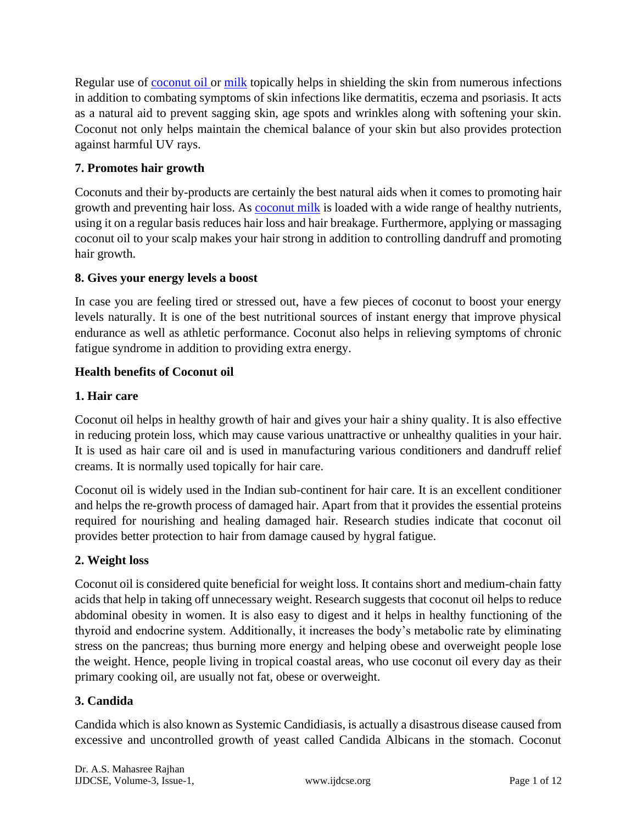Regular use of <u>[coconut oil](https://www.healthbenefitstimes.com/coconut-oil/)</u> or [milk](https://www.healthbenefitstimes.com/milk/) topically helps in shielding the skin from numerous infections in addition to combating symptoms of skin infections like dermatitis, eczema and psoriasis. It acts as a natural aid to prevent sagging skin, age spots and wrinkles along with softening your skin. Coconut not only helps maintain the chemical balance of your skin but also provides protection against harmful UV rays.

## **7. Promotes hair growth**

Coconuts and their by-products are certainly the best natural aids when it comes to promoting hair growth and preventing hair loss. As [coconut milk](https://www.healthbenefitstimes.com/health-benefits-of-coconut-milk/) is loaded with a wide range of healthy nutrients, using it on a regular basis reduces hair loss and hair breakage. Furthermore, applying or massaging coconut oil to your scalp makes your hair strong in addition to controlling dandruff and promoting hair growth.

## **8. Gives your energy levels a boost**

In case you are feeling tired or stressed out, have a few pieces of coconut to boost your energy levels naturally. It is one of the best nutritional sources of instant energy that improve physical endurance as well as athletic performance. Coconut also helps in relieving symptoms of chronic fatigue syndrome in addition to providing extra energy.

## **Health benefits of Coconut oil**

## **1. Hair care**

Coconut oil helps in healthy growth of hair and gives your hair a shiny quality. It is also effective in reducing protein loss, which may cause various unattractive or unhealthy qualities in your hair. It is used as hair care oil and is used in manufacturing various conditioners and dandruff relief creams. It is normally used topically for hair care.

Coconut oil is widely used in the Indian sub-continent for hair care. It is an excellent conditioner and helps the re-growth process of damaged hair. Apart from that it provides the essential proteins required for nourishing and healing damaged hair. Research studies indicate that coconut oil provides better protection to hair from damage caused by hygral fatigue.

## **2. Weight loss**

Coconut oil is considered quite beneficial for weight loss. It contains short and medium-chain fatty acids that help in taking off unnecessary weight. Research suggests that coconut oil helps to reduce abdominal obesity in women. It is also easy to digest and it helps in healthy functioning of the thyroid and endocrine system. Additionally, it increases the body's metabolic rate by eliminating stress on the pancreas; thus burning more energy and helping obese and overweight people lose the weight. Hence, people living in tropical coastal areas, who use coconut oil every day as their primary cooking oil, are usually not fat, obese or overweight.

### **3. Candida**

Candida which is also known as Systemic Candidiasis, is actually a disastrous disease caused from excessive and uncontrolled growth of yeast called Candida Albicans in the stomach. Coconut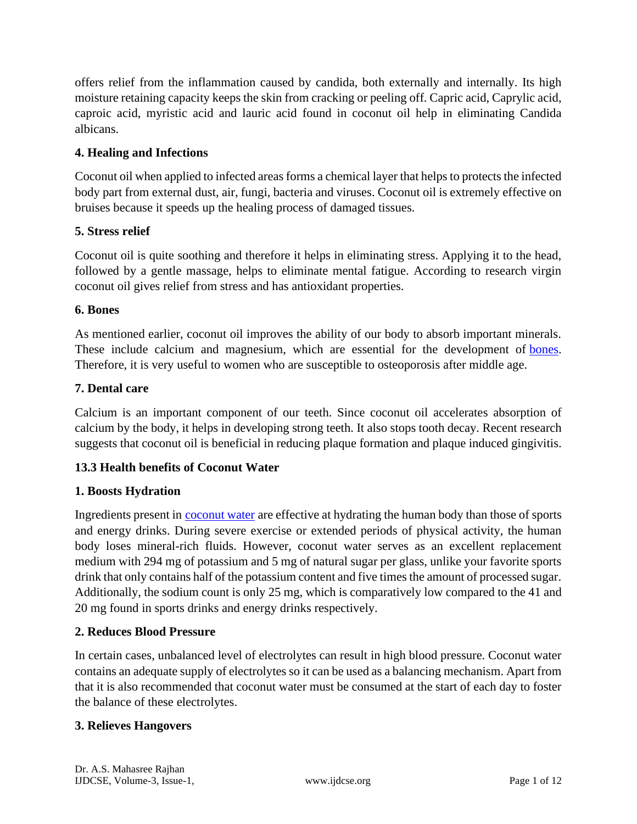offers relief from the inflammation caused by candida, both externally and internally. Its high moisture retaining capacity keeps the skin from cracking or peeling off. Capric acid, Caprylic acid, caproic acid, myristic acid and lauric acid found in coconut oil help in eliminating Candida albicans.

## **4. Healing and Infections**

Coconut oil when applied to infected areas forms a chemical layer that helps to protects the infected body part from external dust, air, fungi, bacteria and viruses. Coconut oil is extremely effective on bruises because it speeds up the healing process of damaged tissues.

### **5. Stress relief**

Coconut oil is quite soothing and therefore it helps in eliminating stress. Applying it to the head, followed by a gentle massage, helps to eliminate mental fatigue. According to research virgin coconut oil gives relief from stress and has antioxidant properties.

### **6. Bones**

As mentioned earlier, coconut oil improves the ability of our body to absorb important minerals. These include calcium and magnesium, which are essential for the development of [bones.](https://www.healthbenefitstimes.com/how-to-build-strong-bones/) Therefore, it is very useful to women who are susceptible to osteoporosis after middle age.

### **7. Dental care**

Calcium is an important component of our teeth. Since coconut oil accelerates absorption of calcium by the body, it helps in developing strong teeth. It also stops tooth decay. Recent research suggests that coconut oil is beneficial in reducing plaque formation and plaque induced gingivitis.

### **13.3 Health benefits of Coconut Water**

### **1. Boosts Hydration**

Ingredients present in [coconut water](https://www.healthbenefitstimes.com/health-benefits-of-coconut-water/) are effective at hydrating the human body than those of sports and energy drinks. During severe exercise or extended periods of physical activity, the human body loses mineral-rich fluids. However, coconut water serves as an excellent replacement medium with 294 mg of potassium and 5 mg of natural sugar per glass, unlike your favorite sports drink that only contains half of the potassium content and five times the amount of processed sugar. Additionally, the sodium count is only 25 mg, which is comparatively low compared to the 41 and 20 mg found in sports drinks and energy drinks respectively.

### **2. Reduces Blood Pressure**

In certain cases, unbalanced level of electrolytes can result in high blood pressure. Coconut water contains an adequate supply of electrolytes so it can be used as a balancing mechanism. Apart from that it is also recommended that coconut water must be consumed at the start of each day to foster the balance of these electrolytes.

### **3. Relieves Hangovers**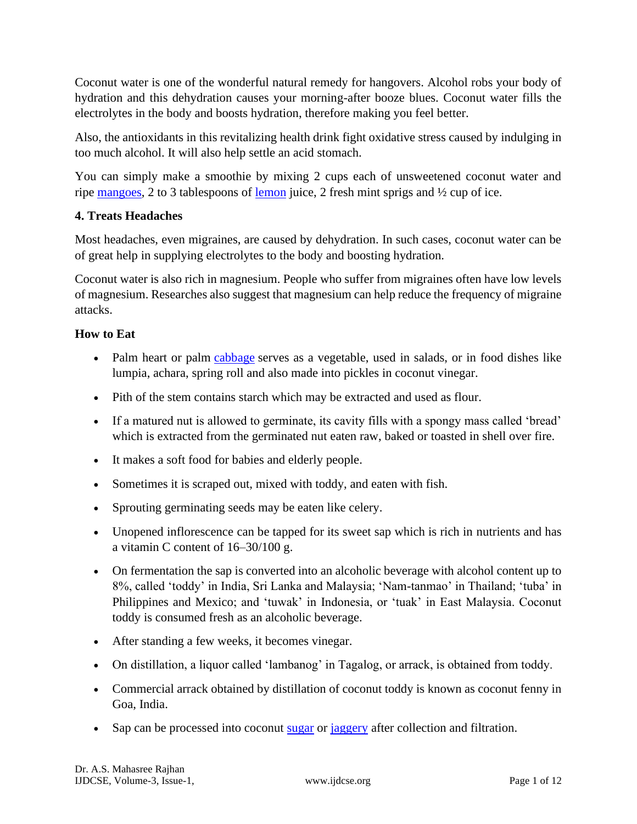Coconut water is one of the wonderful natural remedy for hangovers. Alcohol robs your body of hydration and this dehydration causes your morning-after booze blues. Coconut water fills the electrolytes in the body and boosts hydration, therefore making you feel better.

Also, the antioxidants in this revitalizing health drink fight oxidative stress caused by indulging in too much alcohol. It will also help settle an acid stomach.

You can simply make a smoothie by mixing 2 cups each of unsweetened coconut water and ripe [mangoes,](https://www.healthbenefitstimes.com/health-benefits-of-mangoes/) 2 to 3 tablespoons of [lemon](https://www.healthbenefitstimes.com/health-benefits-of-lemons/) juice, 2 fresh mint sprigs and ½ cup of ice.

## **4. Treats Headaches**

Most headaches, even migraines, are caused by dehydration. In such cases, coconut water can be of great help in supplying electrolytes to the body and boosting hydration.

Coconut water is also rich in magnesium. People who suffer from migraines often have low levels of magnesium. Researches also suggest that magnesium can help reduce the frequency of migraine attacks.

## **How to Eat**

- Palm heart or palm [cabbage](https://www.healthbenefitstimes.com/cabbage/) serves as a vegetable, used in salads, or in food dishes like lumpia, achara, spring roll and also made into pickles in coconut vinegar.
- Pith of the stem contains starch which may be extracted and used as flour.
- If a matured nut is allowed to germinate, its cavity fills with a spongy mass called 'bread' which is extracted from the germinated nut eaten raw, baked or toasted in shell over fire.
- It makes a soft food for babies and elderly people.
- Sometimes it is scraped out, mixed with toddy, and eaten with fish.
- Sprouting germinating seeds may be eaten like celery.
- Unopened inflorescence can be tapped for its sweet sap which is rich in nutrients and has a vitamin C content of 16–30/100 g.
- On fermentation the sap is converted into an alcoholic beverage with alcohol content up to 8%, called 'toddy' in India, Sri Lanka and Malaysia; 'Nam-tanmao' in Thailand; 'tuba' in Philippines and Mexico; and 'tuwak' in Indonesia, or 'tuak' in East Malaysia. Coconut toddy is consumed fresh as an alcoholic beverage.
- After standing a few weeks, it becomes vinegar.
- On distillation, a liquor called 'lambanog' in Tagalog, or arrack, is obtained from toddy.
- Commercial arrack obtained by distillation of coconut toddy is known as coconut fenny in Goa, India.
- Sap can be processed into coconut [sugar](https://www.healthbenefitstimes.com/white-sugar-benefits-and-side-effects/) or [jaggery](https://www.healthbenefitstimes.com/jaggery/) after collection and filtration.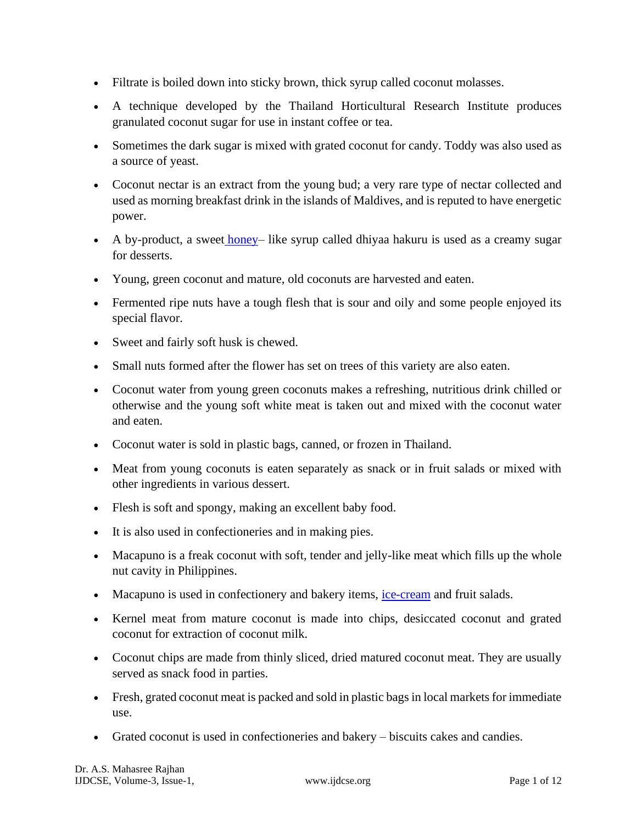- Filtrate is boiled down into sticky brown, thick syrup called coconut molasses.
- A technique developed by the Thailand Horticultural Research Institute produces granulated coconut sugar for use in instant coffee or tea.
- Sometimes the dark sugar is mixed with grated coconut for candy. Toddy was also used as a source of yeast.
- Coconut nectar is an extract from the young bud; a very rare type of nectar collected and used as morning breakfast drink in the islands of Maldives, and is reputed to have energetic power.
- A by-product, a sweet [honey–](https://www.healthbenefitstimes.com/honey/) like syrup called dhiyaa hakuru is used as a creamy sugar for desserts.
- Young, green coconut and mature, old coconuts are harvested and eaten.
- Fermented ripe nuts have a tough flesh that is sour and oily and some people enjoyed its special flavor.
- Sweet and fairly soft husk is chewed.
- Small nuts formed after the flower has set on trees of this variety are also eaten.
- Coconut water from young green coconuts makes a refreshing, nutritious drink chilled or otherwise and the young soft white meat is taken out and mixed with the coconut water and eaten.
- Coconut water is sold in plastic bags, canned, or frozen in Thailand.
- Meat from young coconuts is eaten separately as snack or in fruit salads or mixed with other ingredients in various dessert.
- Flesh is soft and spongy, making an excellent baby food.
- It is also used in confectioneries and in making pies.
- Macapuno is a freak coconut with soft, tender and jelly-like meat which fills up the whole nut cavity in Philippines.
- Macapuno is used in confectionery and bakery items, [ice-cream](https://www.healthbenefitstimes.com/ice-cream/) and fruit salads.
- Kernel meat from mature coconut is made into chips, desiccated coconut and grated coconut for extraction of coconut milk.
- Coconut chips are made from thinly sliced, dried matured coconut meat. They are usually served as snack food in parties.
- Fresh, grated coconut meat is packed and sold in plastic bags in local markets for immediate use.
- Grated coconut is used in confectioneries and bakery biscuits cakes and candies.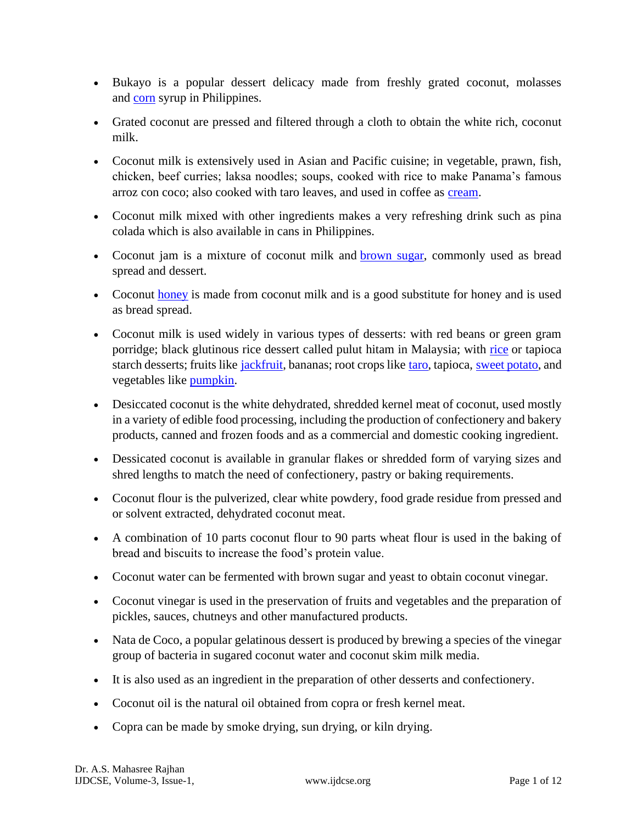- Bukayo is a popular dessert delicacy made from freshly grated coconut, molasses and [corn](https://www.healthbenefitstimes.com/corn/) syrup in Philippines.
- Grated coconut are pressed and filtered through a cloth to obtain the white rich, coconut milk.
- Coconut milk is extensively used in Asian and Pacific cuisine; in vegetable, prawn, fish, chicken, beef curries; laksa noodles; soups, cooked with rice to make Panama's famous arroz con coco; also cooked with taro leaves, and used in coffee as [cream.](https://www.healthbenefitstimes.com/cream/)
- Coconut milk mixed with other ingredients makes a very refreshing drink such as pina colada which is also available in cans in Philippines.
- Coconut jam is a mixture of coconut milk and [brown sugar,](https://www.healthbenefitstimes.com/brown-sugar/) commonly used as bread spread and dessert.
- Coconut [honey](https://www.healthbenefitstimes.com/honey/) is made from coconut milk and is a good substitute for honey and is used as bread spread.
- Coconut milk is used widely in various types of desserts: with red beans or green gram porridge; black glutinous rice dessert called pulut hitam in Malaysia; with [rice](https://www.healthbenefitstimes.com/health-benefits-of-rice/) or tapioca starch desserts; fruits like [jackfruit,](https://www.healthbenefitstimes.com/jackfruit/) bananas; root crops like [taro,](https://www.healthbenefitstimes.com/taro/) tapioca, [sweet potato,](https://www.healthbenefitstimes.com/sweet-potato/) and vegetables like [pumpkin.](https://www.healthbenefitstimes.com/pumpkin/)
- Desiccated coconut is the white dehydrated, shredded kernel meat of coconut, used mostly in a variety of edible food processing, including the production of confectionery and bakery products, canned and frozen foods and as a commercial and domestic cooking ingredient.
- Dessicated coconut is available in granular flakes or shredded form of varying sizes and shred lengths to match the need of confectionery, pastry or baking requirements.
- Coconut flour is the pulverized, clear white powdery, food grade residue from pressed and or solvent extracted, dehydrated coconut meat.
- A combination of 10 parts coconut flour to 90 parts wheat flour is used in the baking of bread and biscuits to increase the food's protein value.
- Coconut water can be fermented with brown sugar and yeast to obtain coconut vinegar.
- Coconut vinegar is used in the preservation of fruits and vegetables and the preparation of pickles, sauces, chutneys and other manufactured products.
- Nata de Coco, a popular gelatinous dessert is produced by brewing a species of the vinegar group of bacteria in sugared coconut water and coconut skim milk media.
- It is also used as an ingredient in the preparation of other desserts and confectionery.
- Coconut oil is the natural oil obtained from copra or fresh kernel meat.
- Copra can be made by smoke drying, sun drying, or kiln drying.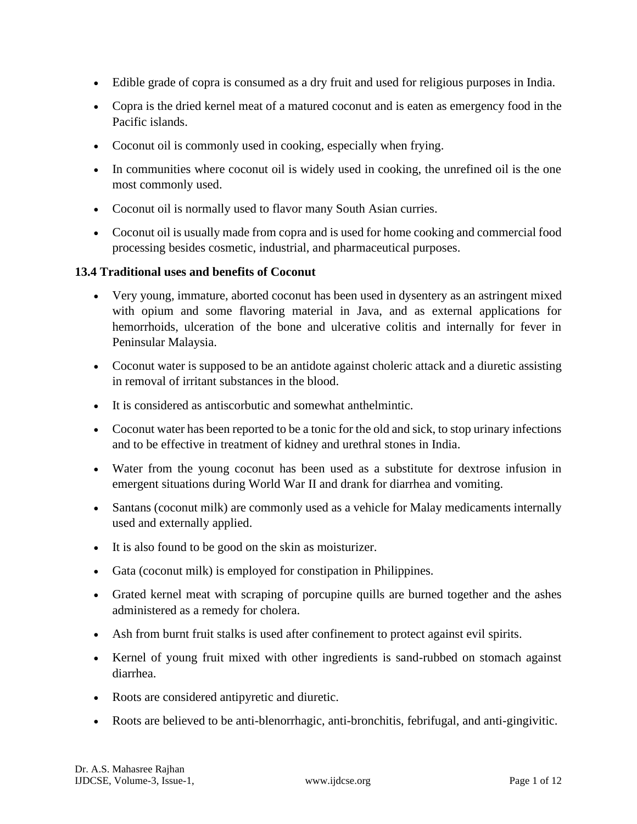- Edible grade of copra is consumed as a dry fruit and used for religious purposes in India.
- Copra is the dried kernel meat of a matured coconut and is eaten as emergency food in the Pacific islands.
- Coconut oil is commonly used in cooking, especially when frying.
- In communities where coconut oil is widely used in cooking, the unrefined oil is the one most commonly used.
- Coconut oil is normally used to flavor many South Asian curries.
- Coconut oil is usually made from copra and is used for home cooking and commercial food processing besides cosmetic, industrial, and pharmaceutical purposes.

### **13.4 Traditional uses and benefits of Coconut**

- Very young, immature, aborted coconut has been used in dysentery as an astringent mixed with opium and some flavoring material in Java, and as external applications for hemorrhoids, ulceration of the bone and ulcerative colitis and internally for fever in Peninsular Malaysia.
- Coconut water is supposed to be an antidote against choleric attack and a diuretic assisting in removal of irritant substances in the blood.
- It is considered as antiscorbutic and somewhat anthelmintic.
- Coconut water has been reported to be a tonic for the old and sick, to stop urinary infections and to be effective in treatment of kidney and urethral stones in India.
- Water from the young coconut has been used as a substitute for dextrose infusion in emergent situations during World War II and drank for diarrhea and vomiting.
- Santans (coconut milk) are commonly used as a vehicle for Malay medicaments internally used and externally applied.
- It is also found to be good on the skin as moisturizer.
- Gata (coconut milk) is employed for constipation in Philippines.
- Grated kernel meat with scraping of porcupine quills are burned together and the ashes administered as a remedy for cholera.
- Ash from burnt fruit stalks is used after confinement to protect against evil spirits.
- Kernel of young fruit mixed with other ingredients is sand-rubbed on stomach against diarrhea.
- Roots are considered antipyretic and diuretic.
- Roots are believed to be anti-blenorrhagic, anti-bronchitis, febrifugal, and anti-gingivitic.